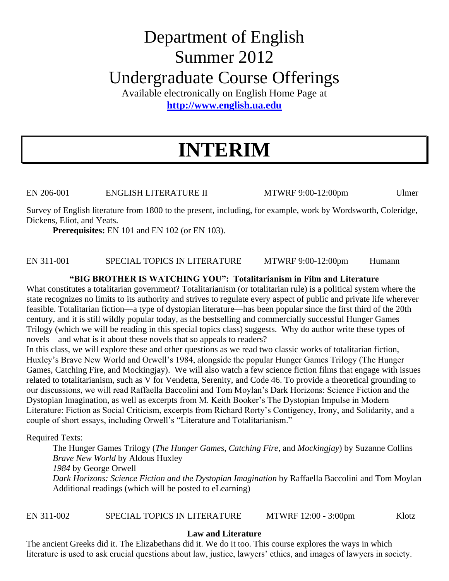# Department of English Summer 2012 Undergraduate Course Offerings

Available electronically on English Home Page at **[http://www.english.ua.edu](http://www.english.ua.edu/)**

# **INTERIM**

EN 206-001 ENGLISH LITERATURE II MTWRF 9:00-12:00pm Ulmer

Survey of English literature from 1800 to the present, including, for example, work by Wordsworth, Coleridge, Dickens, Eliot, and Yeats.

**Prerequisites:** EN 101 and EN 102 (or EN 103).

# EN 311-001 SPECIAL TOPICS IN LITERATURE MTWRF 9:00-12:00pm Humann

### **"BIG BROTHER IS WATCHING YOU": Totalitarianism in Film and Literature**

What constitutes a totalitarian government? Totalitarianism (or totalitarian rule) is a political system where the state recognizes no limits to its authority and strives to regulate every aspect of public and private life wherever feasible. Totalitarian fiction—a type of dystopian literature—has been popular since the first third of the 20th century, and it is still wildly popular today, as the bestselling and commercially successful Hunger Games Trilogy (which we will be reading in this special topics class) suggests. Why do author write these types of novels—and what is it about these novels that so appeals to readers?

In this class, we will explore these and other questions as we read two classic works of totalitarian fiction, Huxley's Brave New World and Orwell's 1984, alongside the popular Hunger Games Trilogy (The Hunger Games, Catching Fire, and Mockingjay). We will also watch a few science fiction films that engage with issues related to totalitarianism, such as V for Vendetta, Serenity, and Code 46. To provide a theoretical grounding to our discussions, we will read Raffaella Baccolini and Tom Moylan's Dark Horizons: Science Fiction and the Dystopian Imagination, as well as excerpts from M. Keith Booker's The Dystopian Impulse in Modern Literature: Fiction as Social Criticism, excerpts from Richard Rorty's Contigency, Irony, and Solidarity, and a couple of short essays, including Orwell's "Literature and Totalitarianism."

Required Texts:

The Hunger Games Trilogy (*The Hunger Games*, *Catching Fire*, and *Mockingjay*) by Suzanne Collins *Brave New World* by Aldous Huxley *1984* by George Orwell *Dark Horizons: Science Fiction and the Dystopian Imagination* by Raffaella Baccolini and Tom Moylan Additional readings (which will be posted to eLearning)

# EN 311-002 SPECIAL TOPICS IN LITERATURE MTWRF 12:00 - 3:00pm Klotz

# **Law and Literature**

The ancient Greeks did it. The Elizabethans did it. We do it too. This course explores the ways in which literature is used to ask crucial questions about law, justice, lawyers' ethics, and images of lawyers in society.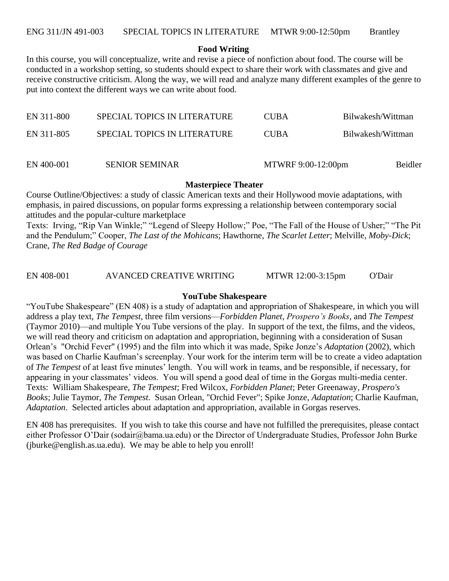#### **Food Writing**

In this course, you will conceptualize, write and revise a piece of nonfiction about food. The course will be conducted in a workshop setting, so students should expect to share their work with classmates and give and receive constructive criticism. Along the way, we will read and analyze many different examples of the genre to put into context the different ways we can write about food.

| EN 400-001 | <b>SENIOR SEMINAR</b>        | MTWRF 9:00-12:00pm | Beidler           |
|------------|------------------------------|--------------------|-------------------|
| EN 311-805 | SPECIAL TOPICS IN LITERATURE | <b>CUBA</b>        | Bilwakesh/Wittman |
| EN 311-800 | SPECIAL TOPICS IN LITERATURE | <b>CUBA</b>        | Bilwakesh/Wittman |

#### **Masterpiece Theater**

Course Outline/Objectives: a study of classic American texts and their Hollywood movie adaptations, with emphasis, in paired discussions, on popular forms expressing a relationship between contemporary social attitudes and the popular-culture marketplace

Texts: Irving, "Rip Van Winkle;" "Legend of Sleepy Hollow;" Poe, "The Fall of the House of Usher;" "The Pit and the Pendulum;" Cooper, *The Last of the Mohicans*; Hawthorne, *The Scarlet Letter*; Melville, *Moby-Dick*; Crane, *The Red Badge of Courage*

EN 408-001 AVANCED CREATIVE WRITING MTWR 12:00-3:15pm O'Dair

#### **YouTube Shakespeare**

"YouTube Shakespeare" (EN 408) is a study of adaptation and appropriation of Shakespeare, in which you will address a play text, *The Tempest*, three film versions—*Forbidden Planet*, *Prospero's Books*, and *The Tempest* (Taymor 2010)—and multiple You Tube versions of the play. In support of the text, the films, and the videos, we will read theory and criticism on adaptation and appropriation, beginning with a consideration of Susan Orlean's "Orchid Fever" (1995) and the film into which it was made, Spike Jonze's *Adaptation* (2002), which was based on Charlie Kaufman's screenplay. Your work for the interim term will be to create a video adaptation of *The Tempest* of at least five minutes' length. You will work in teams, and be responsible, if necessary, for appearing in your classmates' videos. You will spend a good deal of time in the Gorgas multi-media center. Texts: William Shakespeare, *The Tempest*; Fred Wilcox, *Forbidden Planet*; Peter Greenaway, *Prospero's Books*; Julie Taymor, *The Tempest*. Susan Orlean, "Orchid Fever"; Spike Jonze, *Adaptation*; Charlie Kaufman, *Adaptation*. Selected articles about adaptation and appropriation, available in Gorgas reserves.

EN 408 has prerequisites. If you wish to take this course and have not fulfilled the prerequisites, please contact either Professor O'Dair (sodair@bama.ua.edu) or the Director of Undergraduate Studies, Professor John Burke (jburke@english.as.ua.edu). We may be able to help you enroll!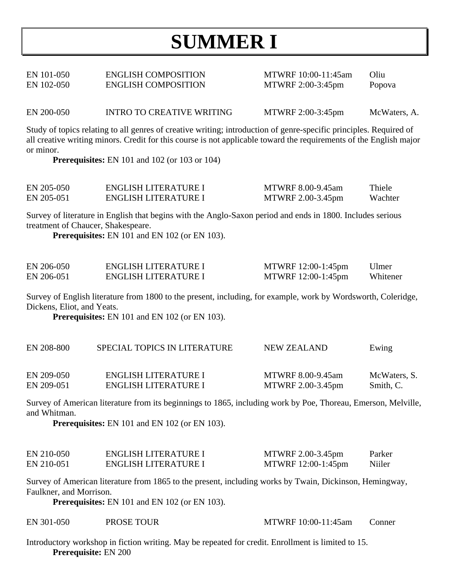# **SUMMER I**

| EN 101-050 | <b>ENGLISH COMPOSITION</b> | MTWRF 10:00-11:45am | Oliu   |
|------------|----------------------------|---------------------|--------|
| EN 102-050 | <b>ENGLISH COMPOSITION</b> | MTWRF 2:00-3:45pm   | Popova |

EN 200-050 INTRO TO CREATIVE WRITING MTWRF 2:00-3:45pm McWaters, A.

Study of topics relating to all genres of creative writing; introduction of genre-specific principles. Required of all creative writing minors. Credit for this course is not applicable toward the requirements of the English major or minor.

**Prerequisites:** EN 101 and 102 (or 103 or 104)

| EN 205-050 | ENGLISH LITERATURE I | MTWRF 8.00-9.45am | Thiele  |
|------------|----------------------|-------------------|---------|
| EN 205-051 | ENGLISH LITERATURE I | MTWRF 2.00-3.45pm | Wachter |

Survey of literature in English that begins with the Anglo-Saxon period and ends in 1800. Includes serious treatment of Chaucer, Shakespeare.

**Prerequisites:** EN 101 and EN 102 (or EN 103).

| EN 206-050 | ENGLISH LITERATURE I | MTWRF 12:00-1:45pm | Ulmer    |
|------------|----------------------|--------------------|----------|
| EN 206-051 | ENGLISH LITERATURE I | MTWRF 12:00-1:45pm | Whitener |

Survey of English literature from 1800 to the present, including, for example, work by Wordsworth, Coleridge, Dickens, Eliot, and Yeats.

**Prerequisites:** EN 101 and EN 102 (or EN 103).

| EN 208-800 | SPECIAL TOPICS IN LITERATURE | NEW ZEALAND       | Ewing        |
|------------|------------------------------|-------------------|--------------|
| EN 209-050 | ENGLISH LITERATURE I         | MTWRF 8.00-9.45am | McWaters, S. |
| EN 209-051 | ENGLISH LITERATURE I         | MTWRF 2.00-3.45pm | Smith, C.    |

Survey of American literature from its beginnings to 1865, including work by Poe, Thoreau, Emerson, Melville, and Whitman.

**Prerequisites:** EN 101 and EN 102 (or EN 103).

| EN 210-050 | ENGLISH LITERATURE I | MTWRF 2.00-3.45pm  | Parker |
|------------|----------------------|--------------------|--------|
| EN 210-051 | ENGLISH LITERATURE I | MTWRF 12:00-1:45pm | Niiler |

Survey of American literature from 1865 to the present, including works by Twain, Dickinson, Hemingway, Faulkner, and Morrison.

**Prerequisites:** EN 101 and EN 102 (or EN 103).

| EN 301-050<br>PROSE TOUR | MTWRF 10:00-11:45am | Conner |
|--------------------------|---------------------|--------|
|--------------------------|---------------------|--------|

Introductory workshop in fiction writing. May be repeated for credit. Enrollment is limited to 15. **Prerequisite:** EN 200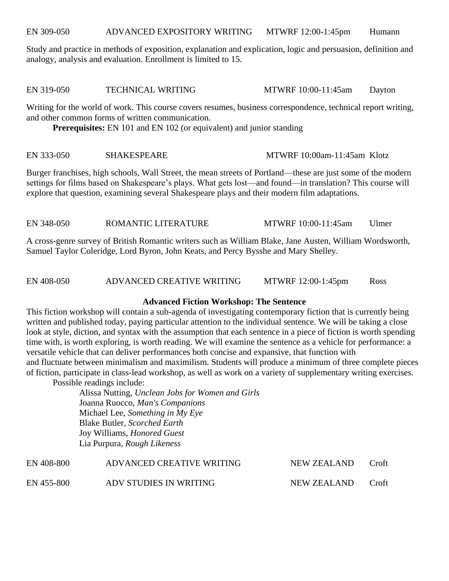EN 309-050 ADVANCED EXPOSITORY WRITING MTWRF 12:00-1:45pm Humann

Study and practice in methods of exposition, explanation and explication, logic and persuasion, definition and analogy, analysis and evaluation. Enrollment is limited to 15.

EN 319-050 TECHNICAL WRITING MTWRF 10:00-11:45am Dayton

Writing for the world of work. This course covers resumes, business correspondence, technical report writing, and other common forms of written communication.

**Prerequisites:** EN 101 and EN 102 (or equivalent) and junior standing

#### EN 333-050 SHAKESPEARE MTWRF 10:00am-11:45am Klotz

Burger franchises, high schools, Wall Street, the mean streets of Portland—these are just some of the modern settings for films based on Shakespeare's plays. What gets lost—and found—in translation? This course will explore that question, examining several Shakespeare plays and their modern film adaptations.

EN 348-050 ROMANTIC LITERATURE MTWRF 10:00-11:45am Ulmer

A cross-genre survey of British Romantic writers such as William Blake, Jane Austen, William Wordsworth, Samuel Taylor Coleridge, Lord Byron, John Keats, and Percy Bysshe and Mary Shelley.

EN 408-050 ADVANCED CREATIVE WRITING MTWRF 12:00-1:45pm Ross

#### **Advanced Fiction Workshop: The Sentence**

This fiction workshop will contain a sub-agenda of investigating contemporary fiction that is currently being written and published today, paying particular attention to the individual sentence. We will be taking a close look at style, diction, and syntax with the assumption that each sentence in a piece of fiction is worth spending time with, is worth exploring, is worth reading. We will examine the sentence as a vehicle for performance: a versatile vehicle that can deliver performances both concise and expansive, that function with and fluctuate between minimalism and maximilism. Students will produce a minimum of three complete pieces of fiction, participate in class-lead workshop, as well as work on a variety of supplementary writing exercises.

Possible readings include:

Alissa Nutting, *Unclean Jobs for Women and Girls* Joanna Ruocco, *Man's Companions* Michael Lee, *Something in My Eye* Blake Butler, *Scorched Earth* Joy Williams, *Honored Guest* Lia Purpura, *Rough Likeness*

| EN 408-800 | ADVANCED CREATIVE WRITING | NEW ZEALAND | Croft |
|------------|---------------------------|-------------|-------|
| EN 455-800 | ADV STUDIES IN WRITING    | NEW ZEALAND | Croft |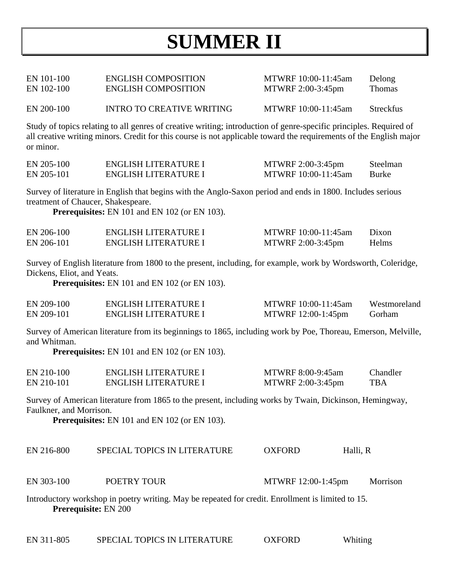# **SUMMER II**

EN 101-100 ENGLISH COMPOSITION MTWRF 10:00-11:45am Delong EN 102-100 ENGLISH COMPOSITION MTWRF 2:00-3:45pm Thomas EN 200-100 INTRO TO CREATIVE WRITING MTWRF 10:00-11:45am Streckfus

Study of topics relating to all genres of creative writing; introduction of genre-specific principles. Required of all creative writing minors. Credit for this course is not applicable toward the requirements of the English major or minor.

| EN 205-100 | ENGLISH LITERATURE I | MTWRF 2:00-3:45pm   | Steelman |
|------------|----------------------|---------------------|----------|
| EN 205-101 | ENGLISH LITERATURE I | MTWRF 10:00-11:45am | Burke    |

Survey of literature in English that begins with the Anglo-Saxon period and ends in 1800. Includes serious treatment of Chaucer, Shakespeare.

**Prerequisites:** EN 101 and EN 102 (or EN 103).

| EN 206-100 | ENGLISH LITERATURE I | MTWRF 10:00-11:45am | Dixon |
|------------|----------------------|---------------------|-------|
| EN 206-101 | ENGLISH LITERATURE I | MTWRF 2:00-3:45pm   | Helms |

Survey of English literature from 1800 to the present, including, for example, work by Wordsworth, Coleridge, Dickens, Eliot, and Yeats.

**Prerequisites:** EN 101 and EN 102 (or EN 103).

| EN 209-100 | ENGLISH LITERATURE I | MTWRF 10:00-11:45am | Westmoreland |
|------------|----------------------|---------------------|--------------|
| EN 209-101 | ENGLISH LITERATURE I | MTWRF 12:00-1:45pm  | Gorham       |

Survey of American literature from its beginnings to 1865, including work by Poe, Thoreau, Emerson, Melville, and Whitman.

**Prerequisites:** EN 101 and EN 102 (or EN 103).

| EN 210-100 | ENGLISH LITERATURE I | MTWRF 8:00-9:45am | <b>Chandler</b> |
|------------|----------------------|-------------------|-----------------|
| EN 210-101 | ENGLISH LITERATURE I | MTWRF 2:00-3:45pm | <b>TBA</b>      |

Survey of American literature from 1865 to the present, including works by Twain, Dickinson, Hemingway, Faulkner, and Morrison.

**Prerequisites:** EN 101 and EN 102 (or EN 103).

| EN 216-800 | SPECIAL TOPICS IN LITERATURE | <b>OXFORD</b> | Halli, R |
|------------|------------------------------|---------------|----------|
|            |                              |               |          |

EN 303-100 POETRY TOUR MTWRF 12:00-1:45pm Morrison

Introductory workshop in poetry writing. May be repeated for credit. Enrollment is limited to 15. **Prerequisite:** EN 200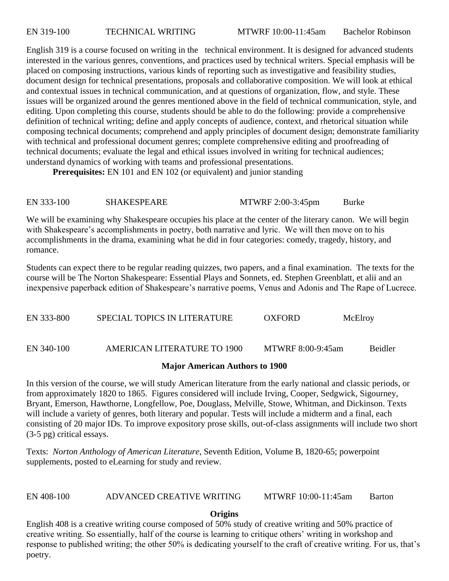English 319 is a course focused on writing in the technical environment. It is designed for advanced students interested in the various genres, conventions, and practices used by technical writers. Special emphasis will be placed on composing instructions, various kinds of reporting such as investigative and feasibility studies, document design for technical presentations, proposals and collaborative composition. We will look at ethical and contextual issues in technical communication, and at questions of organization, flow, and style. These issues will be organized around the genres mentioned above in the field of technical communication, style, and editing. Upon completing this course, students should be able to do the following: provide a comprehensive definition of technical writing; define and apply concepts of audience, context, and rhetorical situation while composing technical documents; comprehend and apply principles of document design; demonstrate familiarity with technical and professional document genres; complete comprehensive editing and proofreading of technical documents; evaluate the legal and ethical issues involved in writing for technical audiences; understand dynamics of working with teams and professional presentations.

**Prerequisites:** EN 101 and EN 102 (or equivalent) and junior standing

# EN 333-100 SHAKESPEARE MTWRF 2:00-3:45pm Burke

We will be examining why Shakespeare occupies his place at the center of the literary canon. We will begin with Shakespeare's accomplishments in poetry, both narrative and lyric. We will then move on to his accomplishments in the drama, examining what he did in four categories: comedy, tragedy, history, and romance.

Students can expect there to be regular reading quizzes, two papers, and a final examination. The texts for the course will be The Norton Shakespeare: Essential Plays and Sonnets, ed. Stephen Greenblatt, et alii and an inexpensive paperback edition of Shakespeare's narrative poems, Venus and Adonis and The Rape of Lucrece.

EN 333-800 SPECIAL TOPICS IN LITERATURE OXFORD McElroy EN 340-100 AMERICAN LITERATURE TO 1900 MTWRF 8:00-9:45am Beidler

### **Major American Authors to 1900**

In this version of the course, we will study American literature from the early national and classic periods, or from approximately 1820 to 1865. Figures considered will include Irving, Cooper, Sedgwick, Sigourney, Bryant, Emerson, Hawthorne, Longfellow, Poe, Douglass, Melville, Stowe, Whitman, and Dickinson. Texts will include a variety of genres, both literary and popular. Tests will include a midterm and a final, each consisting of 20 major IDs. To improve expository prose skills, out-of-class assignments will include two short (3-5 pg) critical essays.

Texts: *Norton Anthology of American Literature*, Seventh Edition, Volume B, 1820-65; powerpoint supplements, posted to eLearning for study and review.

# EN 408-100 ADVANCED CREATIVE WRITING MTWRF 10:00-11:45am Barton

# **Origins**

English 408 is a creative writing course composed of 50% study of creative writing and 50% practice of creative writing. So essentially, half of the course is learning to critique others' writing in workshop and response to published writing; the other 50% is dedicating yourself to the craft of creative writing. For us, that's poetry.